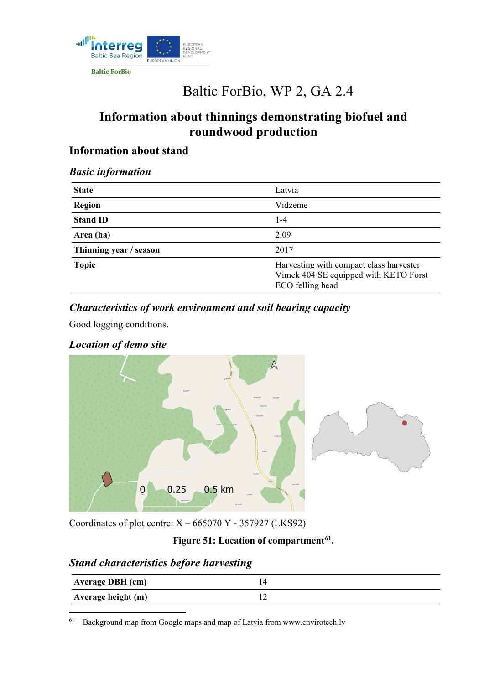

**Baltic ForBio** 

# Baltic ForBio, WP 2, GA 2.4

# **Information about thinnings demonstrating biofuel and roundwood production**

# **Information about stand**

#### *Basic information*

| <b>State</b>           | Latvia                                                                                               |
|------------------------|------------------------------------------------------------------------------------------------------|
| <b>Region</b>          | Vidzeme                                                                                              |
| <b>Stand ID</b>        | $1 - 4$                                                                                              |
| Area (ha)              | 2.09                                                                                                 |
| Thinning year / season | 2017                                                                                                 |
| <b>Topic</b>           | Harvesting with compact class harvester<br>Vimek 404 SE equipped with KETO Forst<br>ECO felling head |

# *Characteristics of work environment and soil bearing capacity*

Good logging conditions.

#### *Location of demo site*



Coordinates of plot centre:  $X - 665070$  Y - 357927 (LKS92)

# **Figure 51: Location of compartment[61](#page-0-0).**

# *Stand characteristics before harvesting*

| <b>Average DBH</b> (cm) |  |
|-------------------------|--|
| Average height (m)      |  |

<span id="page-0-0"></span> $61$  [Background map from Google maps and map of Latvia from www.envirotech.lv](http://www.envirotech.lv/)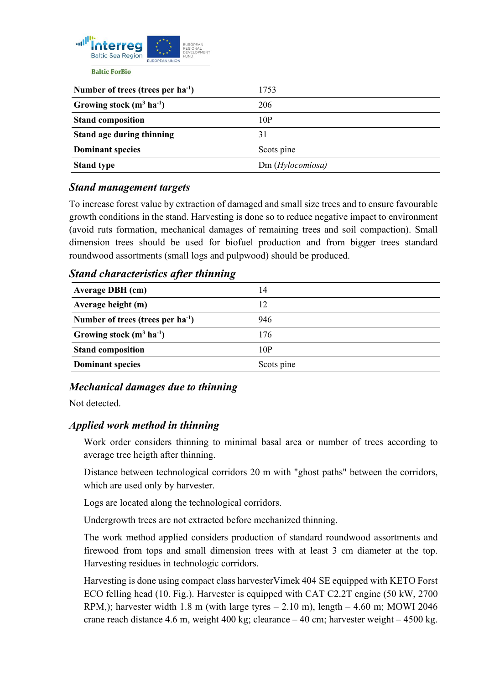

| Number of trees (trees per $ha^{-1}$ ) | 1753            |
|----------------------------------------|-----------------|
| Growing stock $(m^3 \text{ ha}^{-1})$  | 206             |
| <b>Stand composition</b>               | 10P             |
| Stand age during thinning              | 31              |
| <b>Dominant species</b>                | Scots pine      |
| <b>Stand type</b>                      | Dm(Hylocomiosa) |

#### *Stand management targets*

To increase forest value by extraction of damaged and small size trees and to ensure favourable growth conditions in the stand. Harvesting is done so to reduce negative impact to environment (avoid ruts formation, mechanical damages of remaining trees and soil compaction). Small dimension trees should be used for biofuel production and from bigger trees standard roundwood assortments (small logs and pulpwood) should be produced.

#### **Average DBH (cm)** 14 **Average height (m)** 12 **Number of trees (trees per ha-1 )** 946 **Growing stock (m3 ha-1 )** 176 **Stand composition** 10P **Dominant species** Scots pine

#### *Stand characteristics after thinning*

# *Mechanical damages due to thinning*

Not detected.

# *Applied work method in thinning*

Work order considers thinning to minimal basal area or number of trees according to average tree heigth after thinning.

Distance between technological corridors 20 m with "ghost paths" between the corridors, which are used only by harvester.

Logs are located along the technological corridors.

Undergrowth trees are not extracted before mechanized thinning.

The work method applied considers production of standard roundwood assortments and firewood from tops and small dimension trees with at least 3 cm diameter at the top. Harvesting residues in technologic corridors.

Harvesting is done using compact class harvesterVimek 404 SE equipped with KETO Forst ECO felling head (10. Fig.). Harvester is equipped with CAT C2.2T engine (50 kW, 2700 RPM,); harvester width 1.8 m (with large tyres  $- 2.10$  m), length  $- 4.60$  m; MOWI 2046 crane reach distance 4.6 m, weight 400 kg; clearance – 40 cm; harvester weight – 4500 kg.